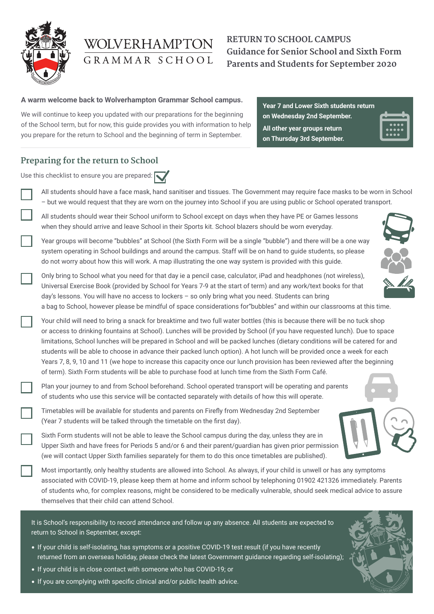

# WOLVERHAMPTON GRAMMAR SCHOOL

# **RETURN TO SCHOOL CAMPUS Guidance for Senior School and Sixth Form Parents and Students for September 2020**

#### **A warm welcome back to Wolverhampton Grammar School campus.**

We will continue to keep you updated with our preparations for the beginning of the School term, but for now, this guide provides you with information to help you prepare for the return to School and the beginning of term in September.

**Year 7 and Lower Sixth students return on Wednesday 2nd September. All other year groups return on Thursday 3rd September.**

## **Preparing for the return to School**

| Use this checklist to ensure you are prepared: |                                                                                                                                                                                                                                                                                                                                                                                                                                                                                                                                                                                                                                                                                                                                                            |
|------------------------------------------------|------------------------------------------------------------------------------------------------------------------------------------------------------------------------------------------------------------------------------------------------------------------------------------------------------------------------------------------------------------------------------------------------------------------------------------------------------------------------------------------------------------------------------------------------------------------------------------------------------------------------------------------------------------------------------------------------------------------------------------------------------------|
|                                                | All students should have a face mask, hand sanitiser and tissues. The Government may require face masks to be worn in School<br>- but we would request that they are worn on the journey into School if you are using public or School operated transport.                                                                                                                                                                                                                                                                                                                                                                                                                                                                                                 |
|                                                | All students should wear their School uniform to School except on days when they have PE or Games lessons<br>when they should arrive and leave School in their Sports kit. School blazers should be worn everyday.                                                                                                                                                                                                                                                                                                                                                                                                                                                                                                                                         |
|                                                | Year groups will become "bubbles" at School (the Sixth Form will be a single "bubble") and there will be a one way<br>system operating in School buildings and around the campus. Staff will be on hand to guide students, so please<br>do not worry about how this will work. A map illustrating the one way system is provided with this guide.                                                                                                                                                                                                                                                                                                                                                                                                          |
|                                                | Only bring to School what you need for that day ie a pencil case, calculator, iPad and headphones (not wireless),<br>Universal Exercise Book (provided by School for Years 7-9 at the start of term) and any work/text books for that<br>day's lessons. You will have no access to lockers - so only bring what you need. Students can bring<br>a bag to School, however please be mindful of space considerations for"bubbles" and within our classrooms at this time.                                                                                                                                                                                                                                                                                    |
|                                                | Your child will need to bring a snack for breaktime and two full water bottles (this is because there will be no tuck shop<br>or access to drinking fountains at School). Lunches will be provided by School (if you have requested lunch). Due to space<br>limitations, School lunches will be prepared in School and will be packed lunches (dietary conditions will be catered for and<br>students will be able to choose in advance their packed lunch option). A hot lunch will be provided once a week for each<br>Years 7, 8, 9, 10 and 11 (we hope to increase this capacity once our lunch provision has been reviewed after the beginning<br>of term). Sixth Form students will be able to purchase food at lunch time from the Sixth Form Café. |
|                                                | Plan your journey to and from School beforehand. School operated transport will be operating and parents<br>of students who use this service will be contacted separately with details of how this will operate.                                                                                                                                                                                                                                                                                                                                                                                                                                                                                                                                           |
|                                                | Timetables will be available for students and parents on Firefly from Wednesday 2nd September<br>(Year 7 students will be talked through the timetable on the first day).                                                                                                                                                                                                                                                                                                                                                                                                                                                                                                                                                                                  |
|                                                | Sixth Form students will not be able to leave the School campus during the day, unless they are in<br>Upper Sixth and have frees for Periods 5 and/or 6 and their parent/guardian has given prior permission<br>(we will contact Upper Sixth families separately for them to do this once timetables are published).                                                                                                                                                                                                                                                                                                                                                                                                                                       |
|                                                | Most importantly, only healthy students are allowed into School. As always, if your child is unwell or has any symptoms<br>associated with COVID-19, please keep them at home and inform school by telephoning 01902 421326 immediately. Parents<br>of students who, for complex reasons, might be considered to be medically vulnerable, should seek medical advice to assure<br>themselves that their child can attend School.                                                                                                                                                                                                                                                                                                                           |

It is School's responsibility to record attendance and follow up any absence. All students are expected to return to School in September, except:

- If your child is self-isolating, has symptoms or a positive COVID-19 test result (if you have recently returned from an overseas holiday, please check the latest Government guidance regarding self-isolating);
- If your child is in close contact with someone who has COVID-19; or
- If you are complying with specific clinical and/or public health advice.

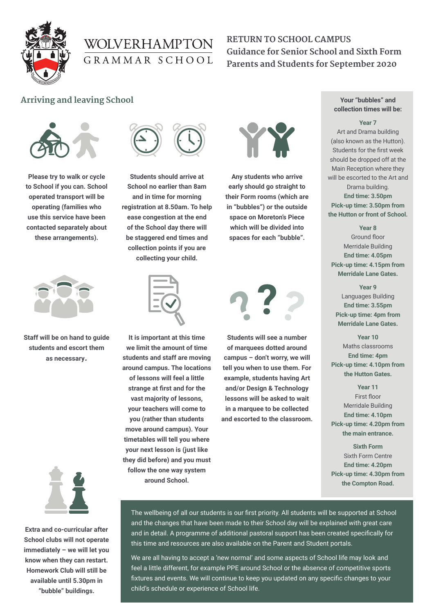

# WOLVERHAMPTON GRAMMAR SCHOOL

# **RETURN TO SCHOOL CAMPUS Guidance for Senior School and Sixth Form Parents and Students for September 2020**

### **Arriving and leaving School**



**Please try to walk or cycle to School if you can. School operated transport will be operating (families who use this service have been contacted separately about these arrangements).**



**Staff will be on hand to guide students and escort them as necessary.**



**Extra and co-curricular after School clubs will not operate immediately – we will let you know when they can restart. Homework Club will still be available until 5.30pm in "bubble" buildings.**



**Students should arrive at School no earlier than 8am and in time for morning registration at 8.50am. To help ease congestion at the end of the School day there will be staggered end times and collection points if you are collecting your child.** 



**It is important at this time we limit the amount of time students and staff are moving around campus. The locations of lessons will feel a little strange at first and for the vast majority of lessons, your teachers will come to you (rather than students move around campus). Your timetables will tell you where your next lesson is (just like they did before) and you must follow the one way system around School.**



**Any students who arrive early should go straight to their Form rooms (which are in "bubbles") or the outside space on Moreton's Piece which will be divided into spaces for each "bubble".**



**Students will see a number of marquees dotted around campus – don't worry, we will tell you when to use them. For example, students having Art and/or Design & Technology lessons will be asked to wait in a marquee to be collected and escorted to the classroom.**

#### **Your "bubbles" and collection times will be:**

#### **Year 7**

Art and Drama building (also known as the Hutton). Students for the first week should be dropped off at the Main Reception where they will be escorted to the Art and Drama building. **End time: 3.50pm Pick-up time: 3.50pm from the Hutton or front of School.**

**Year 8** Ground floor Merridale Building **End time: 4.05pm Pick-up time: 4.15pm from Merridale Lane Gates.**

**Year 9** Languages Building **End time: 3.55pm Pick-up time: 4pm from Merridale Lane Gates.**

**Year 10** Maths classrooms **End time: 4pm Pick-up time: 4.10pm from the Hutton Gates.**

**Year 11** First floor Merridale Building **End time: 4.10pm Pick-up time: 4.20pm from the main entrance.**

**Sixth Form** Sixth Form Centre **End time: 4.20pm Pick-up time: 4.30pm from the Compton Road.**

The wellbeing of all our students is our first priority. All students will be supported at School and the changes that have been made to their School day will be explained with great care and in detail. A programme of additional pastoral support has been created specifically for this time and resources are also available on the Parent and Student portals.

We are all having to accept a 'new normal' and some aspects of School life may look and feel a little different, for example PPE around School or the absence of competitive sports fixtures and events. We will continue to keep you updated on any specific changes to your child's schedule or experience of School life.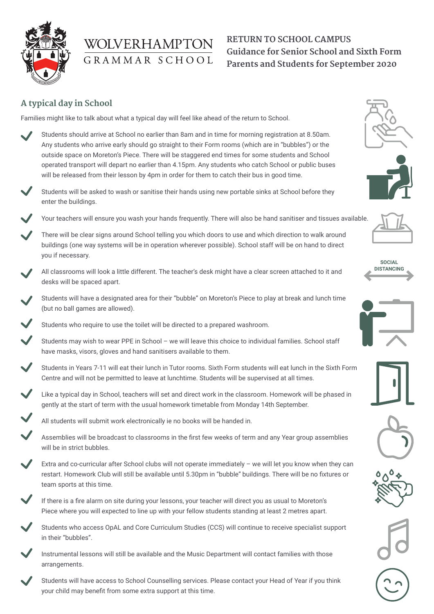

# WOLVERHAMPTON GRAMMAR SCHOOL

# **RETURN TO SCHOOL CAMPUS Guidance for Senior School and Sixth Form Parents and Students for September 2020**

## **A typical day in School**

Families might like to talk about what a typical day will feel like ahead of the return to School.

- Students should arrive at School no earlier than 8am and in time for morning registration at 8.50am. Any students who arrive early should go straight to their Form rooms (which are in "bubbles") or the outside space on Moreton's Piece. There will be staggered end times for some students and School operated transport will depart no earlier than 4.15pm. Any students who catch School or public buses will be released from their lesson by 4pm in order for them to catch their bus in good time.
- Students will be asked to wash or sanitise their hands using new portable sinks at School before they enter the buildings.
	- Your teachers will ensure you wash your hands frequently. There will also be hand sanitiser and tissues available.
	- There will be clear signs around School telling you which doors to use and which direction to walk around buildings (one way systems will be in operation wherever possible). School staff will be on hand to direct you if necessary.
- All classrooms will look a little different. The teacher's desk might have a clear screen attached to it and desks will be spaced apart.
- Students will have a designated area for their "bubble" on Moreton's Piece to play at break and lunch time (but no ball games are allowed).

Students who require to use the toilet will be directed to a prepared washroom.

- Students may wish to wear PPE in School we will leave this choice to individual families. School staff have masks, visors, gloves and hand sanitisers available to them.
- Students in Years 7-11 will eat their lunch in Tutor rooms. Sixth Form students will eat lunch in the Sixth Form Centre and will not be permitted to leave at lunchtime. Students will be supervised at all times.
- Like a typical day in School, teachers will set and direct work in the classroom. Homework will be phased in gently at the start of term with the usual homework timetable from Monday 14th September.
	- All students will submit work electronically ie no books will be handed in.
	- Assemblies will be broadcast to classrooms in the first few weeks of term and any Year group assemblies will be in strict bubbles.
- Extra and co-curricular after School clubs will not operate immediately we will let you know when they can restart. Homework Club will still be available until 5.30pm in "bubble" buildings. There will be no fixtures or team sports at this time.
- If there is a fire alarm on site during your lessons, your teacher will direct you as usual to Moreton's Piece where you will expected to line up with your fellow students standing at least 2 metres apart.
	- Students who access OpAL and Core Curriculum Studies (CCS) will continue to receive specialist support in their "bubbles".
	- Instrumental lessons will still be available and the Music Department will contact families with those arrangements.
	- Students will have access to School Counselling services. Please contact your Head of Year if you think your child may benefit from some extra support at this time.